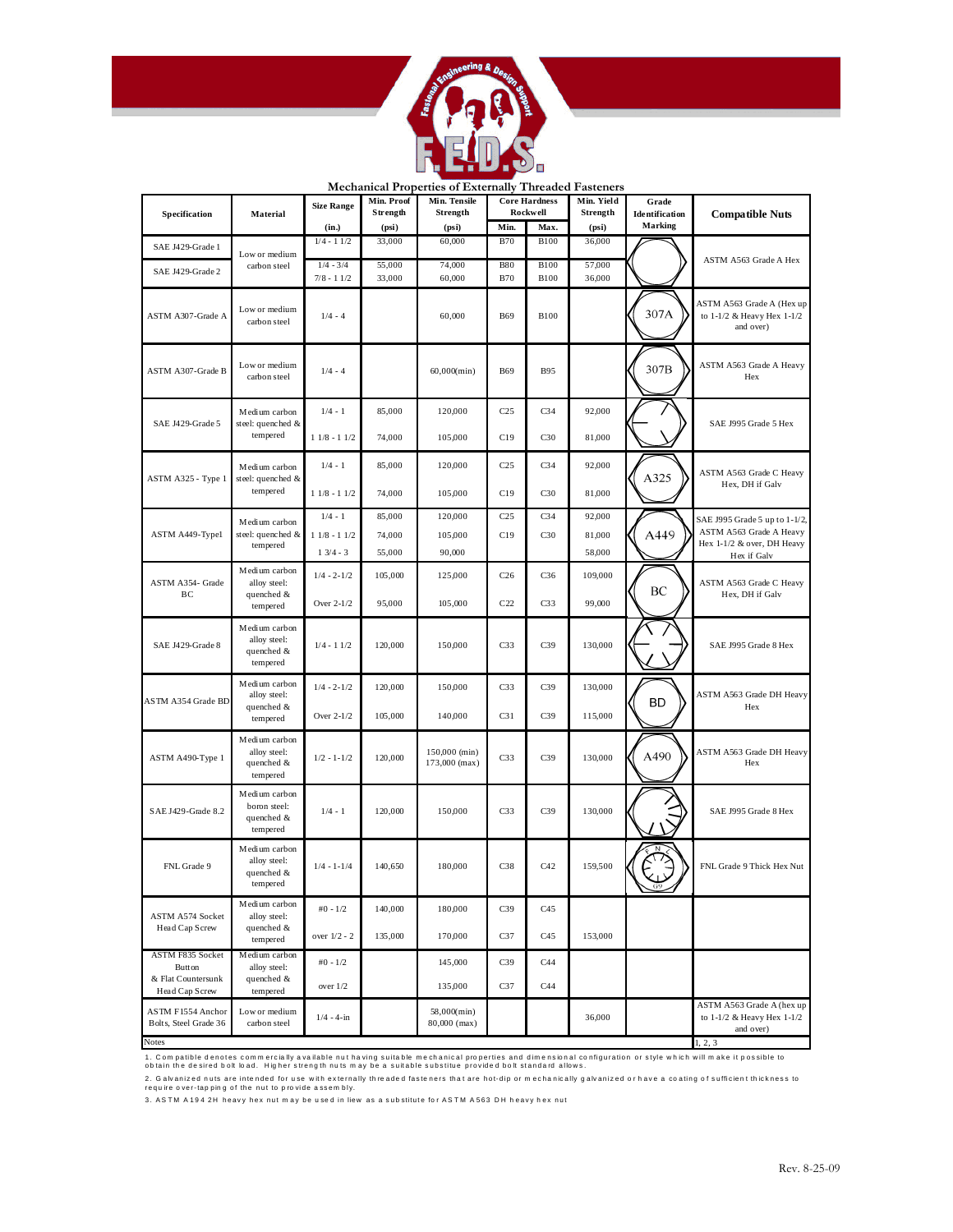

|                                                |                                                         |                             | Min. Proof | Mechanical Properties of Externally Threated Pastellers<br>Min. Tensile |                 | <b>Core Hardness</b> | Min. Yield       |                                |                                                                      |  |
|------------------------------------------------|---------------------------------------------------------|-----------------------------|------------|-------------------------------------------------------------------------|-----------------|----------------------|------------------|--------------------------------|----------------------------------------------------------------------|--|
| Specification                                  | Material                                                | <b>Size Range</b>           | Strength   | Strength                                                                |                 | Rockwell             | Strength         | Grade<br><b>Identification</b> |                                                                      |  |
|                                                |                                                         | (in.)                       | (psi)      | (psi)                                                                   | Min.            | Max.                 | (psi)            | <b>Marking</b>                 | <b>Compatible Nuts</b>                                               |  |
| SAE J429-Grade 1                               |                                                         | $1/4 - 11/2$                | 33,000     | 60,000                                                                  | <b>B70</b>      | <b>B100</b>          | 36,000           |                                |                                                                      |  |
|                                                | Low or medium                                           |                             | 55,000     |                                                                         | <b>B80</b>      | <b>B100</b>          |                  |                                | ASTM A563 Grade A Hex                                                |  |
| SAE J429-Grade 2                               | carbon steel                                            | $1/4 - 3/4$<br>$7/8 - 11/2$ | 33,000     | 74,000<br>60,000                                                        | <b>B70</b>      | <b>B100</b>          | 57,000<br>36,000 |                                |                                                                      |  |
| ASTM A307-Grade A                              | Low or medium<br>carbon steel                           | $1/4 - 4$                   |            | 60,000                                                                  | <b>B69</b>      | <b>B100</b>          |                  | 307A                           | ASTM A563 Grade A (Hex up<br>to 1-1/2 & Heavy Hex 1-1/2<br>and over) |  |
| ASTM A307-Grade B                              | Low or medium<br>carbon steel                           | $1/4 - 4$                   |            | $60,000$ (min)                                                          | <b>B69</b>      | <b>B95</b>           |                  | 307B                           | ASTM A563 Grade A Heavy<br>Hex                                       |  |
|                                                | Medium carbon                                           | $1/4 - 1$                   | 85,000     | 120,000                                                                 | C <sub>25</sub> | C <sub>34</sub>      | 92,000           |                                |                                                                      |  |
| SAE J429-Grade 5                               | steel: quenched &<br>tempered                           | $11/8 - 11/2$               | 74,000     | 105,000                                                                 | C19             | C30                  | 81,000           |                                | SAE J995 Grade 5 Hex                                                 |  |
|                                                | Medium carbon<br>steel: quenched &                      | $1/4 - 1$                   | 85,000     | 120,000                                                                 | C <sub>25</sub> | C <sub>34</sub>      | 92,000           | A325                           | ASTM A563 Grade C Heavy                                              |  |
| ASTM A325 - Type 1                             | tempered                                                | $11/8 - 11/2$               | 74,000     | 105,000                                                                 | C19             | C30                  | 81,000           |                                | Hex, DH if Galv                                                      |  |
|                                                | Medium carbon                                           | $1/4 - 1$                   | 85,000     | 120,000                                                                 | C25             | C <sub>34</sub>      | 92,000           |                                | SAE J995 Grade 5 up to 1-1/2,                                        |  |
| ASTM A449-Typel                                | steel: quenched &                                       | $11/8 - 11/2$               | 74,000     | 105,000                                                                 | C19             | C30                  | 81,000           | A449                           | ASTM A563 Grade A Heavy                                              |  |
|                                                | tempered                                                | $1 \frac{3}{4} - 3$         | 55,000     | 90,000                                                                  |                 |                      | 58,000           |                                | Hex 1-1/2 & over, DH Heavy<br>Hex if Galv                            |  |
| ASTM A354- Grade                               | Medium carbon<br>alloy steel:<br>quenched &<br>tempered | $1/4 - 2 - 1/2$             | 105,000    | 125,000                                                                 | C <sub>26</sub> | C <sub>36</sub>      | 109,000          |                                | ASTM A563 Grade C Heavy                                              |  |
| ВC                                             |                                                         | Over 2-1/2                  | 95,000     | 105,000                                                                 | C <sub>22</sub> | C <sub>33</sub>      | 99,000           | BC                             | Hex, DH if Galv                                                      |  |
| SAE J429-Grade 8                               | Medium carbon<br>alloy steel:<br>quenched &<br>tempered | $1/4 - 11/2$                | 120,000    | 150,000                                                                 | C <sub>33</sub> | C39                  | 130,000          |                                | SAE J995 Grade 8 Hex                                                 |  |
|                                                | Medium carbon<br>alloy steel:                           | $1/4 - 2 - 1/2$             | 120,000    | 150,000                                                                 | C <sub>33</sub> | C <sub>39</sub>      | 130,000          |                                | ASTM A563 Grade DH Heavy                                             |  |
| ASTM A354 Grade BD                             | quenched &<br>tempered                                  | Over 2-1/2                  | 105,000    | 140,000                                                                 | C <sub>31</sub> | C39                  | 115,000          | <b>BD</b>                      | Hex                                                                  |  |
| ASTM A490-Type 1                               | Medium carbon<br>alloy steel:<br>quenched &<br>tempered | $1/2 - 1 - 1/2$             | 120,000    | 150,000 (min)<br>173,000 (max)                                          | C <sub>33</sub> | C39                  | 130,000          | A490                           | ASTM A563 Grade DH Heavy<br>Hex                                      |  |
| SAE J429-Grade 8.2                             | Medium carbon<br>boron steel:<br>quenched &<br>tempered | $1/4 - 1$                   | 120,000    | 150,000                                                                 | C <sub>33</sub> | C39                  | 130,000          |                                | SAE J995 Grade 8 Hex                                                 |  |
| FNL Grade 9                                    | Medium carbon<br>alloy steel:<br>quenched &<br>tempered | $1/4 - 1 - 1/4$             | 140,650    | 180,000                                                                 | C <sub>38</sub> | C42                  | 159,500          |                                | FNL Grade 9 Thick Hex Nut                                            |  |
|                                                | Medium carbon                                           | $#0 - 1/2$                  | 140,000    | 180,000                                                                 | C39             | C45                  |                  |                                |                                                                      |  |
| ASTM A574 Socket<br>Head Cap Screw             | alloy steel:<br>quenched &<br>tempered                  | over 1/2 - 2                | 135,000    | 170,000                                                                 | C <sub>37</sub> | C45                  | 153,000          |                                |                                                                      |  |
| ASTM F835 Socket                               | Medium carbon                                           | $#0 - 1/2$                  |            | 145,000                                                                 | C <sub>39</sub> | C44                  |                  |                                |                                                                      |  |
| Button<br>& Flat Countersunk<br>Head Cap Screw | alloy steel:<br>quenched &<br>tempered                  | over $1/2$                  |            | 135,000                                                                 | C <sub>37</sub> | C44                  |                  |                                |                                                                      |  |
| ASTM F1554 Anchor<br>Bolts, Steel Grade 36     | Low or medium<br>carbon steel                           | $1/4 - 4 - in$              |            | 58,000(min)<br>80,000 (max)                                             |                 |                      | 36,000           |                                | ASTM A563 Grade A (hex up<br>to 1-1/2 & Heavy Hex 1-1/2<br>and over) |  |
| <b>Notes</b>                                   |                                                         |                             |            |                                                                         |                 |                      |                  |                                | 1, 2, 3                                                              |  |

**Mechanical Properties of Externally Threaded Fasteners** 

1. Compatible denotes commercially available nuthaving suitable mechanical properties and dimensional configuration or style which will make it possible to<br>obtain the desired bolt load. Higher strength nuts may be a suitab

2. Galvanized nuts are intended for use with externally threaded fasteners that are hot-dip or mechanically galvanized or have a coating of sufficient thickness to<br>require over-tapping of the nut to provide assembly.

3. ASTM A 194 2H heavy hex nut may be used in liew as a substitute for ASTM A 563 DH heavy hex nut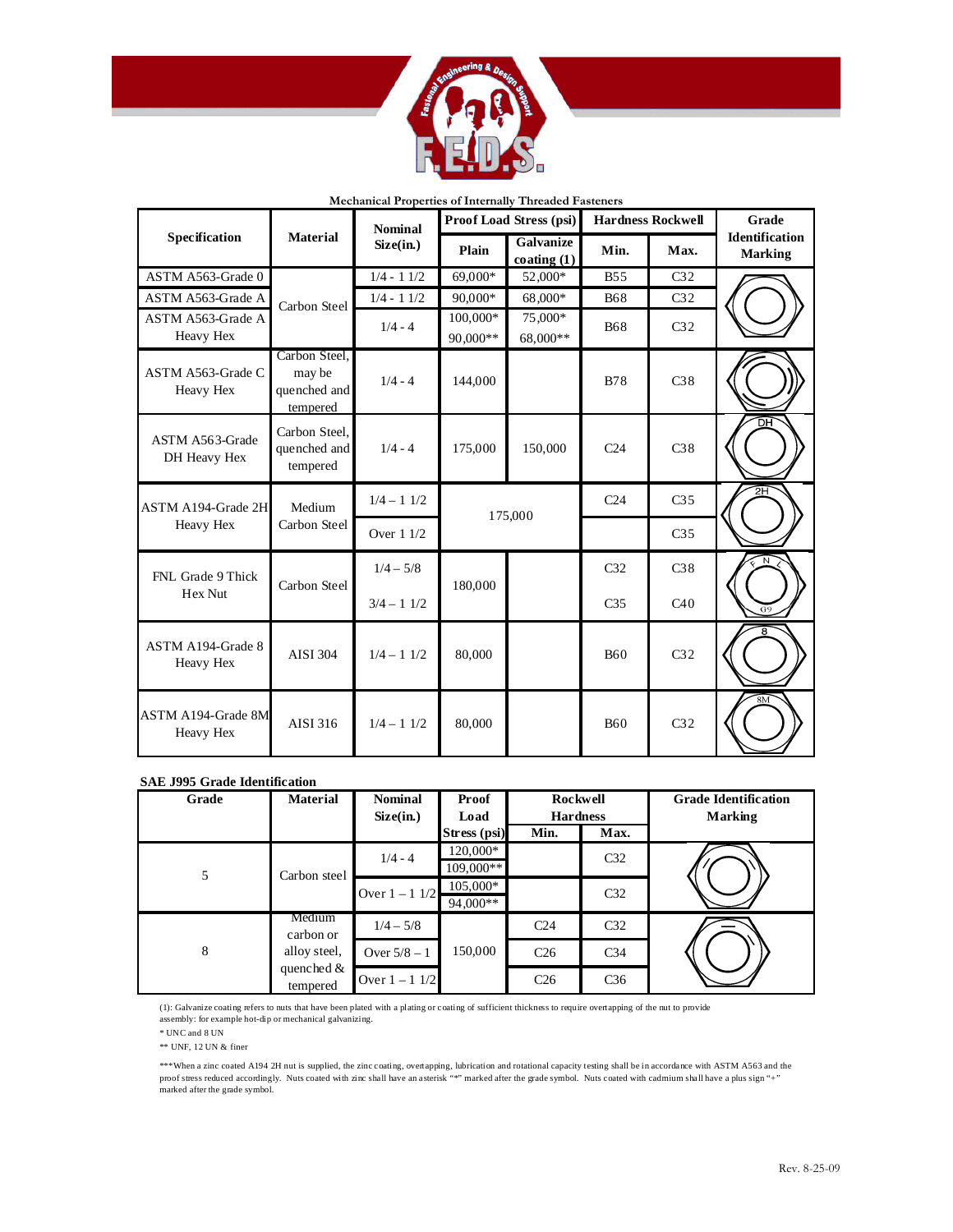

|                                 |                                                     | <b>Nominal</b>  |          | <b>Proof Load Stress (psi)</b> |                 | <b>Hardness Rockwell</b> | Grade                                   |  |
|---------------------------------|-----------------------------------------------------|-----------------|----------|--------------------------------|-----------------|--------------------------|-----------------------------------------|--|
| Specification                   | <b>Material</b>                                     | Size(in.)       | Plain    | Galvanize<br>coating $(1)$     |                 | Max.                     | <b>Identification</b><br><b>Marking</b> |  |
| ASTM A563-Grade 0               |                                                     | $1/4 - 11/2$    | 69,000*  | 52,000*                        | <b>B55</b>      | C <sub>32</sub>          |                                         |  |
| ASTM A563-Grade A               | Carbon Steel                                        | $1/4 - 11/2$    | 90,000*  | 68,000*                        | <b>B68</b>      | C <sub>32</sub>          |                                         |  |
| ASTM A563-Grade A               |                                                     | $1/4 - 4$       | 100,000* | 75,000*                        | <b>B68</b>      | C <sub>32</sub>          |                                         |  |
| Heavy Hex                       |                                                     |                 | 90.000** | 68,000**                       |                 |                          |                                         |  |
| ASTM A563-Grade C<br>Heavy Hex  | Carbon Steel.<br>may be<br>quenched and<br>tempered | $1/4 - 4$       | 144,000  |                                | <b>B78</b>      | C <sub>38</sub>          |                                         |  |
| ASTM A563-Grade<br>DH Heavy Hex | Carbon Steel.<br>quenched and<br>tempered           | $1/4 - 4$       | 175,000  | 150,000                        | C <sub>24</sub> | C <sub>38</sub>          | ञ्म                                     |  |
| ASTM A194-Grade 2H              | Medium                                              | $1/4 - 11/2$    |          | 175,000                        | C <sub>24</sub> | C <sub>35</sub>          | 2H                                      |  |
| Heavy Hex                       | Carbon Steel                                        | Over $11/2$     |          |                                |                 | C <sub>35</sub>          |                                         |  |
| FNL Grade 9 Thick               | Carbon Steel                                        | $1/4 - 5/8$     | 180,000  |                                | C <sub>32</sub> | C <sub>38</sub>          |                                         |  |
| Hex Nut                         |                                                     | $3/4 - 11/2$    |          |                                | C <sub>35</sub> | C40                      | G9                                      |  |
| ASTM A194-Grade 8<br>Heavy Hex  | <b>AISI 304</b>                                     | $1/4 - 11/2$    | 80,000   |                                | <b>B60</b>      | C <sub>32</sub>          | 8                                       |  |
| ASTM A194-Grade 8M<br>Heavy Hex | AISI 316                                            | $1/4 - 1$ $1/2$ | 80,000   |                                | <b>B60</b>      | C <sub>32</sub>          |                                         |  |

## **Mechanical Properties of Internally Threaded Fasteners**

## **SAE J995 Grade Identification**

| Grade | <b>Material</b>           | <b>Nominal</b><br>Size(in.) | Proof<br>Load<br>Stress (psi) | Rockwell<br><b>Hardness</b><br>Max.<br>Min. |                 | <b>Grade Identification</b><br><b>Marking</b> |  |  |
|-------|---------------------------|-----------------------------|-------------------------------|---------------------------------------------|-----------------|-----------------------------------------------|--|--|
| 5     | Carbon steel              | $1/4 - 4$                   | 120,000*<br>109,000**         |                                             | C <sub>32</sub> |                                               |  |  |
|       |                           | Over $1 - 1$ 1/2            | 105,000*<br>$94,000**$        |                                             | C <sub>32</sub> |                                               |  |  |
|       | Medium<br>carbon or       | $1/4 - 5/8$                 |                               | C <sub>24</sub>                             | C <sub>32</sub> |                                               |  |  |
| 8     | alloy steel,              | Over $5/8 - 1$              | 150,000                       | C <sub>26</sub>                             | C <sub>34</sub> |                                               |  |  |
|       | quenched $\&$<br>tempered | Over $1 - 11/2$             |                               | C <sub>26</sub>                             | C <sub>36</sub> |                                               |  |  |

(1): Galvanize coating refers to nuts that have been plated with a plating or coating of sufficient thickness to require overtapping of the nut to provide assembly: for example hot-dip or mechanical galvanizing.

 $\,^*$  UNC and 8 UN

\*\* UNF, 12 UN & finer

\*\*\*When a zinc coated A194 2H nut is supplied, the zinc coating, overtapping, lubrication and rotational capacity testing shall be in accordance with ASTM A563 and the<br>proof stress reduced accordingly. Nuts coated with zin marked after the grade symbol.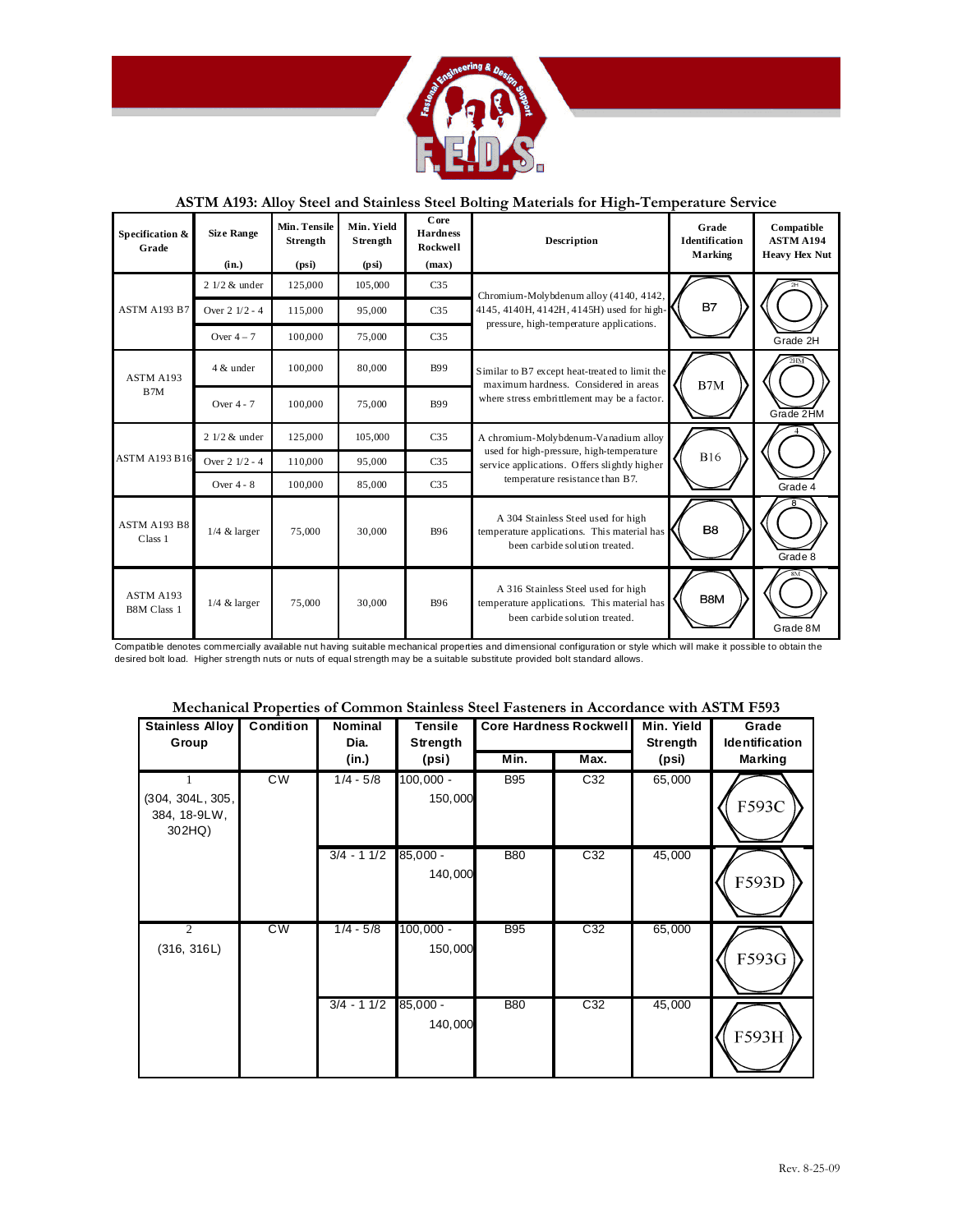

## **ASTM A193: Alloy Steel and Stainless Steel Bolting Materials for High-Temperature Service**

| Specification &<br>Grade        | <b>Size Range</b><br>(in.) | Min. Tensile<br>Strength<br>(psi) | Min. Yield<br>Strength<br>(psi) | Core<br><b>Hardness</b><br>Rockwell<br>(max) | <b>Description</b>                                                                                                   | Grade<br><b>Identification</b><br>Marking | Compatible<br><b>ASTM A194</b><br><b>Heavy Hex Nut</b> |
|---------------------------------|----------------------------|-----------------------------------|---------------------------------|----------------------------------------------|----------------------------------------------------------------------------------------------------------------------|-------------------------------------------|--------------------------------------------------------|
|                                 | $21/2$ & under             | 125,000                           | 105,000                         | C <sub>35</sub>                              | Chromium-Molybdenum alloy (4140, 4142,                                                                               |                                           |                                                        |
| ASTM A193 B7                    | Over $2 \frac{1}{2} - 4$   | 115,000                           | 95,000                          | C <sub>35</sub>                              | 4145, 4140H, 4142H, 4145H) used for high-<br>pressure, high-temperature applications.                                | <b>B7</b>                                 |                                                        |
|                                 | Over $4-7$                 | 100,000                           | 75,000                          | C <sub>35</sub>                              |                                                                                                                      |                                           | Grade 2H                                               |
| ASTM A193                       | 4 & under                  | 100,000                           | 80,000                          | <b>B99</b>                                   | Similar to B7 except heat-treated to limit the<br>maximum hardness. Considered in areas                              | $\rm B7M$                                 |                                                        |
| B <sub>7M</sub>                 | Over 4 - 7                 | 100,000                           | 75,000                          | <b>B99</b>                                   | where stress embrittlement may be a factor.                                                                          |                                           | Grade 2HM                                              |
|                                 | $21/2$ & under             | 125,000                           | 105,000                         | C <sub>35</sub>                              | A chromium-Molybdenum-Vanadium alloy                                                                                 |                                           |                                                        |
| <b>ASTM A193 B16</b>            | Over 2 1/2 - 4             | 110,000                           | 95,000                          | C <sub>35</sub>                              | used for high-pressure, high-temperature<br>service applications. Offers slightly higher                             | <b>B16</b>                                |                                                        |
|                                 | Over $4 - 8$               | 100,000                           | 85,000                          | C <sub>35</sub>                              | temperature resistance than B7.                                                                                      |                                           | Grade 4                                                |
| <b>ASTM A193 B8</b><br>Class 1  | $1/4$ & larger             | 75,000                            | 30,000                          | <b>B96</b>                                   | A 304 Stainless Steel used for high<br>temperature applications. This material has<br>been carbide solution treated. | B <sub>8</sub>                            | Grade 8                                                |
| ASTM A193<br><b>B8M Class 1</b> | $1/4$ & larger             | 75,000                            | 30,000                          | <b>B96</b>                                   | A 316 Stainless Steel used for high<br>temperature applications. This material has<br>been carbide solution treated. | B8M                                       | Grade 8M                                               |

Compatible denotes commercially available nut having suitable mechanical properties and dimensional configuration or style which will make it possible to obtain the desired bolt load. Higher strength nuts or nuts of equal strength may be a suitable substitute provided bolt standard allows.

|  |  |  | Mechanical Properties of Common Stainless Steel Fasteners in Accordance with ASTM F593 |
|--|--|--|----------------------------------------------------------------------------------------|
|--|--|--|----------------------------------------------------------------------------------------|

| <b>Stainless Alloy</b><br>Group                 | Condition      | <b>Nominal</b><br>Dia. | <b>Tensile</b><br>Strength |            | <b>Core Hardness Rockwell</b> | Min. Yield<br>Strength | Grade<br>Identification |  |
|-------------------------------------------------|----------------|------------------------|----------------------------|------------|-------------------------------|------------------------|-------------------------|--|
|                                                 | (in.)<br>(psi) |                        | Min.<br>Max.               |            | (psi)                         | <b>Marking</b>         |                         |  |
| 1<br>(304, 304L, 305,<br>384, 18-9LW,<br>302HQ) | <b>CW</b>      | $1/4 - 5/8$            | $100,000 -$<br>150,000     | <b>B95</b> | C32                           | 65,000                 | F593C                   |  |
|                                                 |                | $3/4 - 11/2$           | $85,000 -$<br>140,000      | <b>B80</b> | C32                           | 45,000                 | F593D                   |  |
| $\overline{2}$<br>(316, 316L)                   | CW             | $1/4 - 5/8$            | $100,000 -$<br>150,000     | <b>B95</b> | C <sub>32</sub>               | 65,000                 | F593G                   |  |
|                                                 |                | $3/4 - 11/2$           | $85,000 -$<br>140,000      | <b>B80</b> | C32                           | 45,000                 | F593H                   |  |